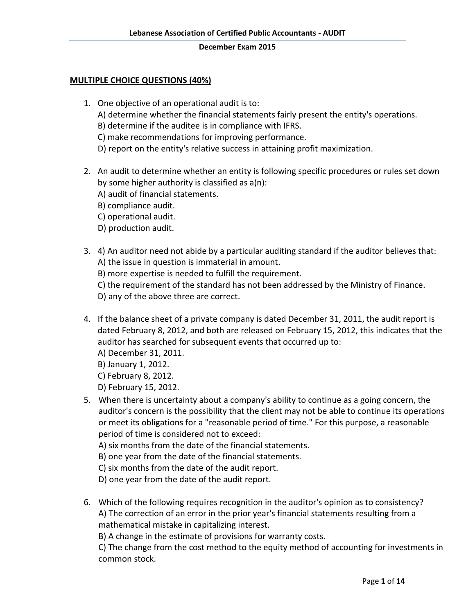# **MULTIPLE CHOICE QUESTIONS (40%)**

- 1. One objective of an operational audit is to: A) determine whether the financial statements fairly present the entity's operations. B) determine if the auditee is in compliance with IFRS. C) make recommendations for improving performance. D) report on the entity's relative success in attaining profit maximization.
- 2. An audit to determine whether an entity is following specific procedures or rules set down by some higher authority is classified as a(n):
	- A) audit of financial statements.
	- B) compliance audit.
	- C) operational audit.
	- D) production audit.
- 3. 4) An auditor need not abide by a particular auditing standard if the auditor believes that: A) the issue in question is immaterial in amount.
	- B) more expertise is needed to fulfill the requirement.
	- C) the requirement of the standard has not been addressed by the Ministry of Finance.
	- D) any of the above three are correct.
- 4. If the balance sheet of a private company is dated December 31, 2011, the audit report is dated February 8, 2012, and both are released on February 15, 2012, this indicates that the auditor has searched for subsequent events that occurred up to:
	- A) December 31, 2011.
	- B) January 1, 2012.
	- C) February 8, 2012.
	- D) February 15, 2012.
- 5. When there is uncertainty about a company's ability to continue as a going concern, the auditor's concern is the possibility that the client may not be able to continue its operations or meet its obligations for a "reasonable period of time." For this purpose, a reasonable period of time is considered not to exceed:
	- A) six months from the date of the financial statements.
	- B) one year from the date of the financial statements.
	- C) six months from the date of the audit report.
	- D) one year from the date of the audit report.
- 6. Which of the following requires recognition in the auditor's opinion as to consistency? A) The correction of an error in the prior year's financial statements resulting from a mathematical mistake in capitalizing interest.

B) A change in the estimate of provisions for warranty costs.

C) The change from the cost method to the equity method of accounting for investments in common stock.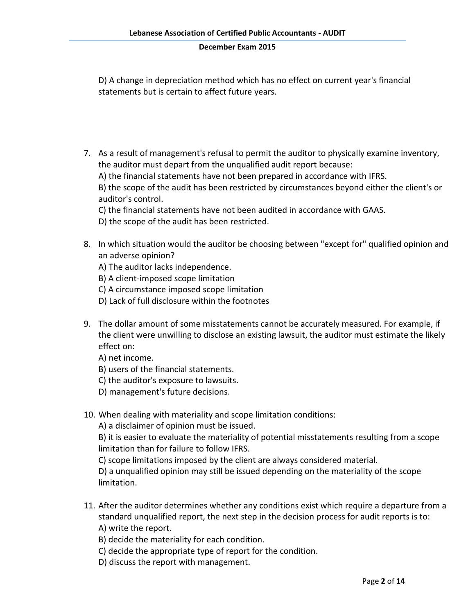D) A change in depreciation method which has no effect on current year's financial statements but is certain to affect future years.

7. As a result of management's refusal to permit the auditor to physically examine inventory, the auditor must depart from the unqualified audit report because:

A) the financial statements have not been prepared in accordance with IFRS.

B) the scope of the audit has been restricted by circumstances beyond either the client's or auditor's control.

C) the financial statements have not been audited in accordance with GAAS.

D) the scope of the audit has been restricted.

- 8. In which situation would the auditor be choosing between "except for" qualified opinion and an adverse opinion?
	- A) The auditor lacks independence.
	- B) A client-imposed scope limitation
	- C) A circumstance imposed scope limitation
	- D) Lack of full disclosure within the footnotes
- 9. The dollar amount of some misstatements cannot be accurately measured. For example, if the client were unwilling to disclose an existing lawsuit, the auditor must estimate the likely effect on:

A) net income.

- B) users of the financial statements.
- C) the auditor's exposure to lawsuits.
- D) management's future decisions.
- 10. When dealing with materiality and scope limitation conditions:

A) a disclaimer of opinion must be issued.

B) it is easier to evaluate the materiality of potential misstatements resulting from a scope limitation than for failure to follow IFRS.

C) scope limitations imposed by the client are always considered material.

D) a unqualified opinion may still be issued depending on the materiality of the scope limitation.

- 11. After the auditor determines whether any conditions exist which require a departure from a standard unqualified report, the next step in the decision process for audit reports is to: A) write the report.
	- B) decide the materiality for each condition.
	- C) decide the appropriate type of report for the condition.
	- D) discuss the report with management.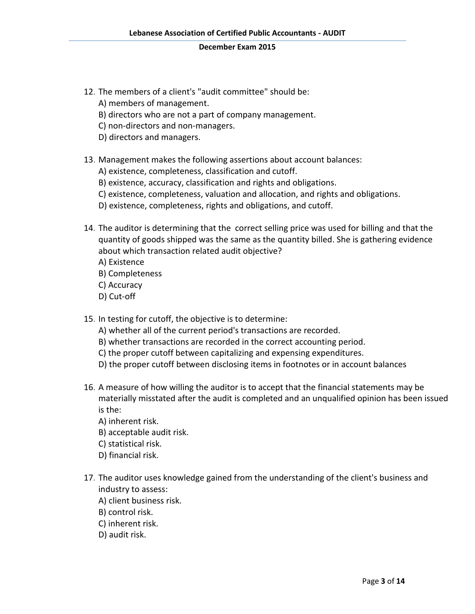- 12. The members of a client's "audit committee" should be:
	- A) members of management.
	- B) directors who are not a part of company management.
	- C) non-directors and non-managers.
	- D) directors and managers.
- 13. Management makes the following assertions about account balances:
	- A) existence, completeness, classification and cutoff.
	- B) existence, accuracy, classification and rights and obligations.
	- C) existence, completeness, valuation and allocation, and rights and obligations.
	- D) existence, completeness, rights and obligations, and cutoff.
- 14. The auditor is determining that the correct selling price was used for billing and that the quantity of goods shipped was the same as the quantity billed. She is gathering evidence about which transaction related audit objective?
	- A) Existence
	- B) Completeness
	- C) Accuracy
	- D) Cut-off

15. In testing for cutoff, the objective is to determine:

- A) whether all of the current period's transactions are recorded.
- B) whether transactions are recorded in the correct accounting period.
- C) the proper cutoff between capitalizing and expensing expenditures.
- D) the proper cutoff between disclosing items in footnotes or in account balances
- 16. A measure of how willing the auditor is to accept that the financial statements may be materially misstated after the audit is completed and an unqualified opinion has been issued is the:
	- A) inherent risk.
	- B) acceptable audit risk.
	- C) statistical risk.
	- D) financial risk.
- 17. The auditor uses knowledge gained from the understanding of the client's business and industry to assess:
	- A) client business risk.
	- B) control risk.
	- C) inherent risk.
	- D) audit risk.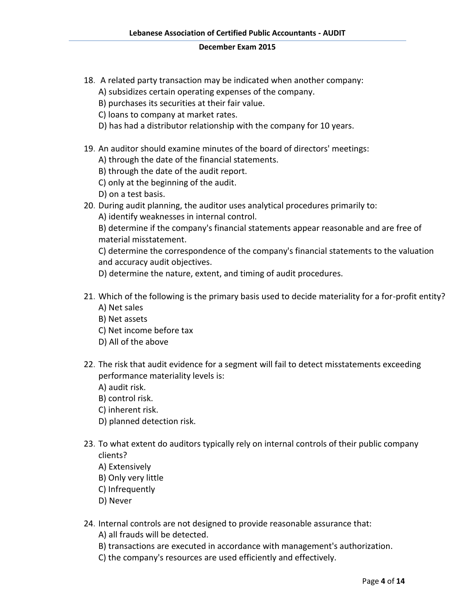- 18. A related party transaction may be indicated when another company: A) subsidizes certain operating expenses of the company.
	- B) purchases its securities at their fair value.
	- C) loans to company at market rates.
	- D) has had a distributor relationship with the company for 10 years.
- 19. An auditor should examine minutes of the board of directors' meetings:
	- A) through the date of the financial statements.
	- B) through the date of the audit report.
	- C) only at the beginning of the audit.
	- D) on a test basis.
- 20. During audit planning, the auditor uses analytical procedures primarily to:
	- A) identify weaknesses in internal control.

B) determine if the company's financial statements appear reasonable and are free of material misstatement.

C) determine the correspondence of the company's financial statements to the valuation and accuracy audit objectives.

D) determine the nature, extent, and timing of audit procedures.

- 21. Which of the following is the primary basis used to decide materiality for a for-profit entity? A) Net sales
	- B) Net assets
	- C) Net income before tax
	- D) All of the above
- 22. The risk that audit evidence for a segment will fail to detect misstatements exceeding performance materiality levels is:
	- A) audit risk.
	- B) control risk.
	- C) inherent risk.
	- D) planned detection risk.
- 23. To what extent do auditors typically rely on internal controls of their public company clients?
	- A) Extensively
	- B) Only very little
	- C) Infrequently
	- D) Never
- 24. Internal controls are not designed to provide reasonable assurance that:
	- A) all frauds will be detected.
	- B) transactions are executed in accordance with management's authorization.
	- C) the company's resources are used efficiently and effectively.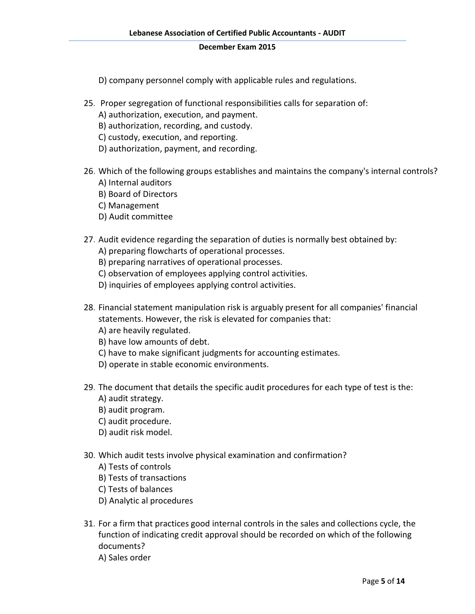D) company personnel comply with applicable rules and regulations.

- 25. Proper segregation of functional responsibilities calls for separation of:
	- A) authorization, execution, and payment.
	- B) authorization, recording, and custody.
	- C) custody, execution, and reporting.
	- D) authorization, payment, and recording.
- 26. Which of the following groups establishes and maintains the company's internal controls? A) Internal auditors
	- B) Board of Directors
	- C) Management
	- D) Audit committee
- 27. Audit evidence regarding the separation of duties is normally best obtained by:
	- A) preparing flowcharts of operational processes.
	- B) preparing narratives of operational processes.
	- C) observation of employees applying control activities.
	- D) inquiries of employees applying control activities.
- 28. Financial statement manipulation risk is arguably present for all companies' financial statements. However, the risk is elevated for companies that:
	- A) are heavily regulated.
	- B) have low amounts of debt.
	- C) have to make significant judgments for accounting estimates.
	- D) operate in stable economic environments.
- 29. The document that details the specific audit procedures for each type of test is the: A) audit strategy.
	- B) audit program.
	- C) audit procedure.
	- D) audit risk model.
- 30. Which audit tests involve physical examination and confirmation?
	- A) Tests of controls
	- B) Tests of transactions
	- C) Tests of balances
	- D) Analytic al procedures
- 31. For a firm that practices good internal controls in the sales and collections cycle, the function of indicating credit approval should be recorded on which of the following documents?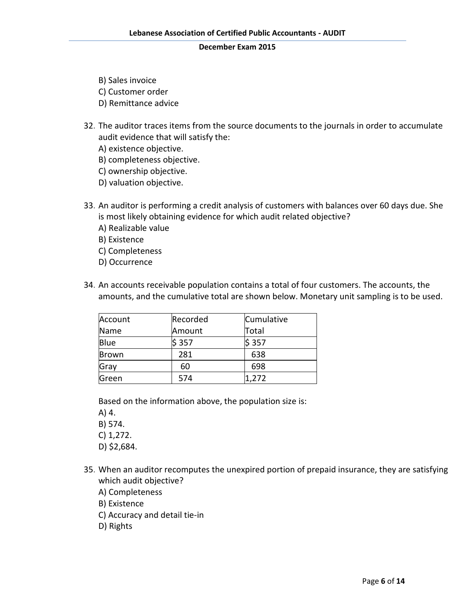- B) Sales invoice
- C) Customer order
- D) Remittance advice
- 32. The auditor traces items from the source documents to the journals in order to accumulate audit evidence that will satisfy the:
	- A) existence objective.
	- B) completeness objective.
	- C) ownership objective.
	- D) valuation objective.
- 33. An auditor is performing a credit analysis of customers with balances over 60 days due. She is most likely obtaining evidence for which audit related objective?
	- A) Realizable value
	- B) Existence
	- C) Completeness
	- D) Occurrence
- 34. An accounts receivable population contains a total of four customers. The accounts, the amounts, and the cumulative total are shown below. Monetary unit sampling is to be used.

| Account | Recorded | Cumulative |
|---------|----------|------------|
| Name    | Amount   | Total      |
| Blue    | \$357    | \$357      |
| Brown   | 281      | 638        |
| Gray    | 60       | 698        |
| Green   | 574      | 1,272      |

Based on the information above, the population size is:

A) 4.

- B) 574.
- C) 1,272.
- D) \$2,684.
- 35. When an auditor recomputes the unexpired portion of prepaid insurance, they are satisfying which audit objective?
	- A) Completeness
	- B) Existence
	- C) Accuracy and detail tie-in
	- D) Rights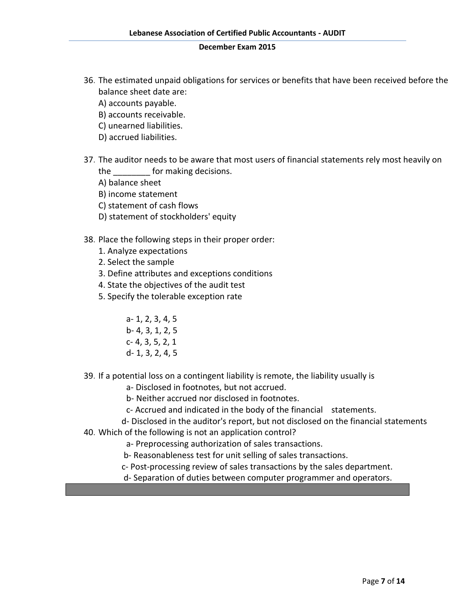- 36. The estimated unpaid obligations for services or benefits that have been received before the balance sheet date are:
	- A) accounts payable.
	- B) accounts receivable.
	- C) unearned liabilities.
	- D) accrued liabilities.
- 37. The auditor needs to be aware that most users of financial statements rely most heavily on the **the** for making decisions.
	- A) balance sheet
	- B) income statement
	- C) statement of cash flows
	- D) statement of stockholders' equity
- 38. Place the following steps in their proper order:
	- 1. Analyze expectations
	- 2. Select the sample
	- 3. Define attributes and exceptions conditions
	- 4. State the objectives of the audit test
	- 5. Specify the tolerable exception rate
		- a- 1, 2, 3, 4, 5 b- 4, 3, 1, 2, 5 c- 4, 3, 5, 2, 1 d- 1, 3, 2, 4, 5
- 39. If a potential loss on a contingent liability is remote, the liability usually is
	- a- Disclosed in footnotes, but not accrued.
	- b- Neither accrued nor disclosed in footnotes.
	- c- Accrued and indicated in the body of the financial statements.
- d- Disclosed in the auditor's report, but not disclosed on the financial statements 40. Which of the following is not an application control?
	- a- Preprocessing authorization of sales transactions.
		- b- Reasonableness test for unit selling of sales transactions.
		- c- Post-processing review of sales transactions by the sales department.
		- d- Separation of duties between computer programmer and operators.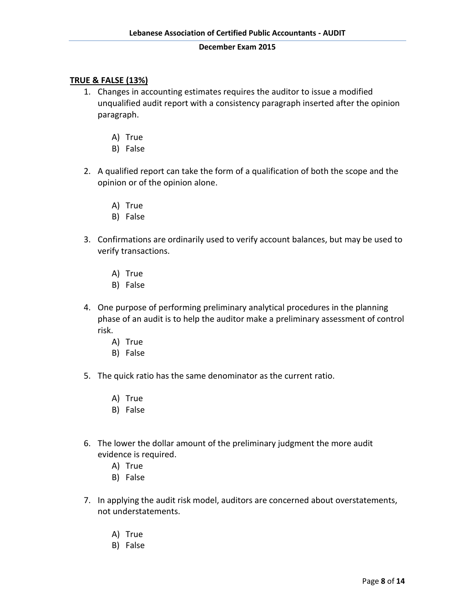# **TRUE & FALSE (13%)**

- 1. Changes in accounting estimates requires the auditor to issue a modified unqualified audit report with a consistency paragraph inserted after the opinion paragraph.
	- A) True
	- B) False
- 2. A qualified report can take the form of a qualification of both the scope and the opinion or of the opinion alone.
	- A) True
	- B) False
- 3. Confirmations are ordinarily used to verify account balances, but may be used to verify transactions.
	- A) True
	- B) False
- 4. One purpose of performing preliminary analytical procedures in the planning phase of an audit is to help the auditor make a preliminary assessment of control risk.
	- A) True
	- B) False
- 5. The quick ratio has the same denominator as the current ratio.
	- A) True
	- B) False
- 6. The lower the dollar amount of the preliminary judgment the more audit evidence is required.
	- A) True
	- B) False
- 7. In applying the audit risk model, auditors are concerned about overstatements, not understatements.
	- A) True
	- B) False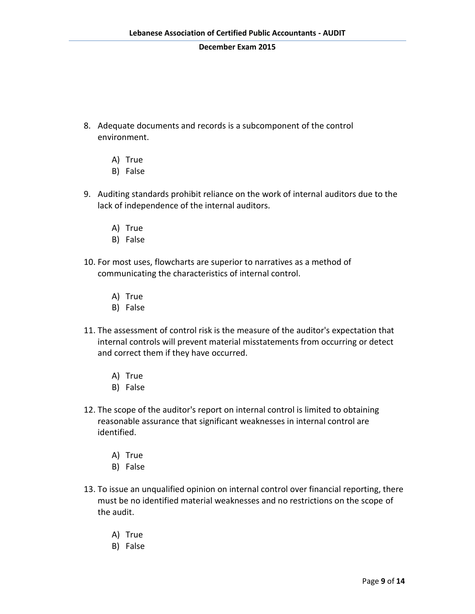- 8. Adequate documents and records is a subcomponent of the control environment.
	- A) True
	- B) False
- 9. Auditing standards prohibit reliance on the work of internal auditors due to the lack of independence of the internal auditors.
	- A) True
	- B) False
- 10. For most uses, flowcharts are superior to narratives as a method of communicating the characteristics of internal control.
	- A) True
	- B) False
- 11. The assessment of control risk is the measure of the auditor's expectation that internal controls will prevent material misstatements from occurring or detect and correct them if they have occurred.
	- A) True
	- B) False
- 12. The scope of the auditor's report on internal control is limited to obtaining reasonable assurance that significant weaknesses in internal control are identified.
	- A) True
	- B) False
- 13. To issue an unqualified opinion on internal control over financial reporting, there must be no identified material weaknesses and no restrictions on the scope of the audit.
	- A) True
	- B) False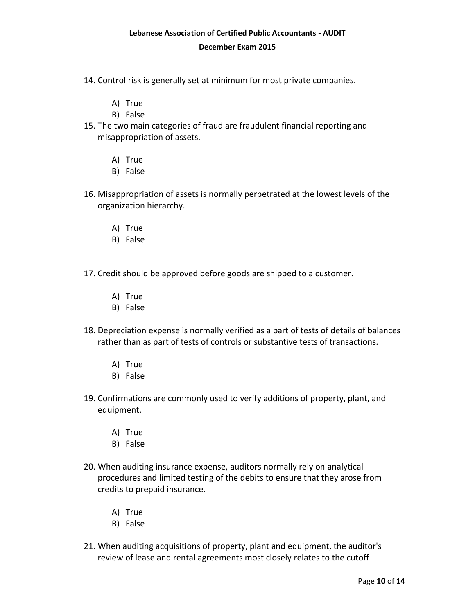- 14. Control risk is generally set at minimum for most private companies.
	- A) True
	- B) False
- 15. The two main categories of fraud are fraudulent financial reporting and misappropriation of assets.
	- A) True
	- B) False
- 16. Misappropriation of assets is normally perpetrated at the lowest levels of the organization hierarchy.
	- A) True
	- B) False
- 17. Credit should be approved before goods are shipped to a customer.
	- A) True
	- B) False
- 18. Depreciation expense is normally verified as a part of tests of details of balances rather than as part of tests of controls or substantive tests of transactions.
	- A) True
	- B) False
- 19. Confirmations are commonly used to verify additions of property, plant, and equipment.
	- A) True
	- B) False
- 20. When auditing insurance expense, auditors normally rely on analytical procedures and limited testing of the debits to ensure that they arose from credits to prepaid insurance.
	- A) True
	- B) False
- 21. When auditing acquisitions of property, plant and equipment, the auditor's review of lease and rental agreements most closely relates to the cutoff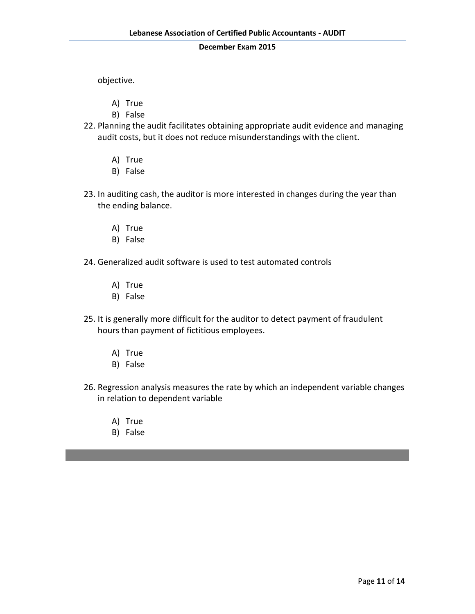objective.

- A) True
- B) False
- 22. Planning the audit facilitates obtaining appropriate audit evidence and managing audit costs, but it does not reduce misunderstandings with the client.
	- A) True
	- B) False
- 23. In auditing cash, the auditor is more interested in changes during the year than the ending balance.
	- A) True
	- B) False
- 24. Generalized audit software is used to test automated controls
	- A) True
	- B) False
- 25. It is generally more difficult for the auditor to detect payment of fraudulent hours than payment of fictitious employees.
	- A) True
	- B) False
- 26. Regression analysis measures the rate by which an independent variable changes in relation to dependent variable
	- A) True
	- B) False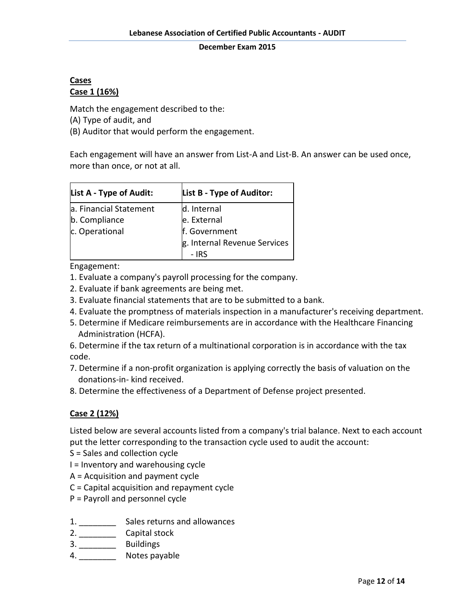# **Cases Case 1 (16%)**

Match the engagement described to the:

(A) Type of audit, and

(B) Auditor that would perform the engagement.

Each engagement will have an answer from List-A and List-B. An answer can be used once, more than once, or not at all.

| List A - Type of Audit: | List B - Type of Auditor:    |
|-------------------------|------------------------------|
| a. Financial Statement  | d. Internal                  |
| b. Compliance           | e. External                  |
| c. Operational          | f. Government                |
|                         | g. Internal Revenue Services |
|                         | - IRS                        |

# Engagement:

- 1. Evaluate a company's payroll processing for the company.
- 2. Evaluate if bank agreements are being met.
- 3. Evaluate financial statements that are to be submitted to a bank.
- 4. Evaluate the promptness of materials inspection in a manufacturer's receiving department.
- 5. Determine if Medicare reimbursements are in accordance with the Healthcare Financing Administration (HCFA).

6. Determine if the tax return of a multinational corporation is in accordance with the tax code.

- 7. Determine if a non-profit organization is applying correctly the basis of valuation on the donations-in- kind received.
- 8. Determine the effectiveness of a Department of Defense project presented.

# **Case 2 (12%)**

Listed below are several accounts listed from a company's trial balance. Next to each account put the letter corresponding to the transaction cycle used to audit the account:

- S = Sales and collection cycle
- I = Inventory and warehousing cycle
- A = Acquisition and payment cycle
- C = Capital acquisition and repayment cycle
- P = Payroll and personnel cycle
- 1. \_\_\_\_\_\_\_\_ Sales returns and allowances
- 2. \_\_\_\_\_\_\_\_\_\_\_\_\_\_ Capital stock
- 3. \_\_\_\_\_\_\_\_ Buildings
- 4. Notes payable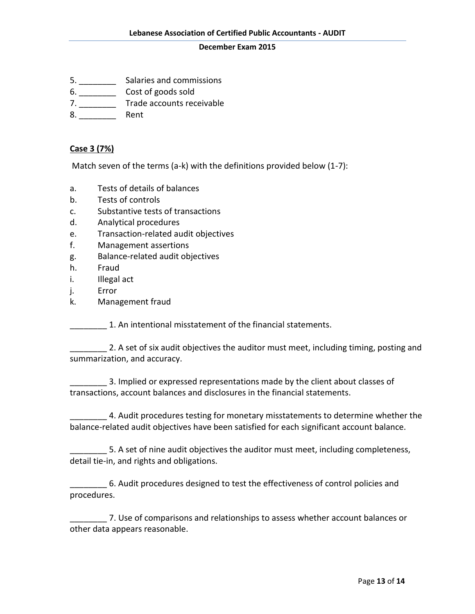- 5. \_\_\_\_\_\_\_\_ Salaries and commissions
- 6. \_\_\_\_\_\_\_\_ Cost of goods sold
- 7. \_\_\_\_\_\_\_\_\_\_\_ Trade accounts receivable
- 8. Rent

# **Case 3 (7%)**

Match seven of the terms (a-k) with the definitions provided below (1-7):

- a. Tests of details of balances
- b. Tests of controls
- c. Substantive tests of transactions
- d. Analytical procedures
- e. Transaction-related audit objectives
- f. Management assertions
- g. Balance-related audit objectives
- h. Fraud
- i. Illegal act
- j. Error
- k. Management fraud

\_\_\_\_\_\_\_\_ 1. An intentional misstatement of the financial statements.

**2. A set of six audit objectives the auditor must meet, including timing, posting and** summarization, and accuracy.

\_\_\_\_\_\_\_\_ 3. Implied or expressed representations made by the client about classes of transactions, account balances and disclosures in the financial statements.

4. Audit procedures testing for monetary misstatements to determine whether the balance-related audit objectives have been satisfied for each significant account balance.

5. A set of nine audit objectives the auditor must meet, including completeness, detail tie-in, and rights and obligations.

\_\_\_\_\_\_\_\_ 6. Audit procedures designed to test the effectiveness of control policies and procedures.

\_\_\_\_\_\_\_\_ 7. Use of comparisons and relationships to assess whether account balances or other data appears reasonable.